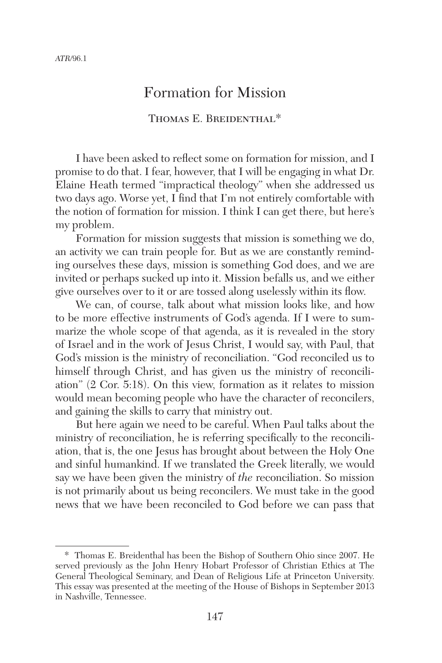# Formation for Mission

### THOMAS E. BREIDENTHAL<sup>\*</sup>

I have been asked to reflect some on formation for mission, and I promise to do that. I fear, however, that I will be engaging in what Dr. Elaine Heath termed "impractical theology" when she addressed us two days ago. Worse yet, I find that I'm not entirely comfortable with the notion of formation for mission. I think I can get there, but here's my problem.

Formation for mission suggests that mission is something we do, an activity we can train people for. But as we are constantly reminding ourselves these days, mission is something God does, and we are invited or perhaps sucked up into it. Mission befalls us, and we either give ourselves over to it or are tossed along uselessly within its flow.

We can, of course, talk about what mission looks like, and how to be more effective instruments of God's agenda. If I were to summarize the whole scope of that agenda, as it is revealed in the story of Israel and in the work of Jesus Christ, I would say, with Paul, that God's mission is the ministry of reconciliation. "God reconciled us to himself through Christ, and has given us the ministry of reconciliation" (2 Cor. 5:18). On this view, formation as it relates to mission would mean becoming people who have the character of reconcilers, and gaining the skills to carry that ministry out.

But here again we need to be careful. When Paul talks about the ministry of reconciliation, he is referring specifically to the reconciliation, that is, the one Jesus has brought about between the Holy One and sinful humankind. If we translated the Greek literally, we would say we have been given the ministry of *the* reconciliation. So mission is not primarily about us being reconcilers. We must take in the good news that we have been reconciled to God before we can pass that

<sup>\*</sup> Thomas E. Breidenthal has been the Bishop of Southern Ohio since 2007. He served previously as the John Henry Hobart Professor of Christian Ethics at The General Theological Seminary, and Dean of Religious Life at Princeton University. This essay was presented at the meeting of the House of Bishops in September 2013 in Nashville, Tennessee.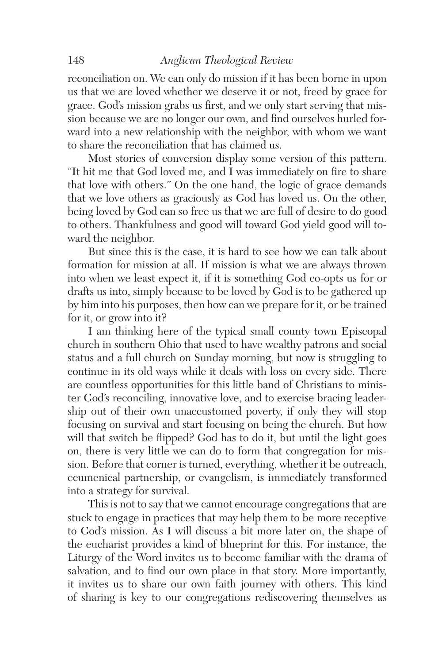reconciliation on. We can only do mission if it has been borne in upon us that we are loved whether we deserve it or not, freed by grace for grace. God's mission grabs us first, and we only start serving that mission because we are no longer our own, and find ourselves hurled forward into a new relationship with the neighbor, with whom we want to share the reconciliation that has claimed us.

Most stories of conversion display some version of this pattern. "It hit me that God loved me, and I was immediately on fire to share that love with others." On the one hand, the logic of grace demands that we love others as graciously as God has loved us. On the other, being loved by God can so free us that we are full of desire to do good to others. Thankfulness and good will toward God yield good will toward the neighbor.

But since this is the case, it is hard to see how we can talk about formation for mission at all. If mission is what we are always thrown into when we least expect it, if it is something God co-opts us for or drafts us into, simply because to be loved by God is to be gathered up by him into his purposes, then how can we prepare for it, or be trained for it, or grow into it?

I am thinking here of the typical small county town Episcopal church in southern Ohio that used to have wealthy patrons and social status and a full church on Sunday morning, but now is struggling to continue in its old ways while it deals with loss on every side. There are countless opportunities for this little band of Christians to minister God's reconciling, innovative love, and to exercise bracing leadership out of their own unaccustomed poverty, if only they will stop focusing on survival and start focusing on being the church. But how will that switch be flipped? God has to do it, but until the light goes on, there is very little we can do to form that congregation for mission. Before that corner is turned, everything, whether it be outreach, ecumenical partnership, or evangelism, is immediately transformed into a strategy for survival.

This is not to say that we cannot encourage congregations that are stuck to engage in practices that may help them to be more receptive to God's mission. As I will discuss a bit more later on, the shape of the eucharist provides a kind of blueprint for this. For instance, the Liturgy of the Word invites us to become familiar with the drama of salvation, and to find our own place in that story. More importantly, it invites us to share our own faith journey with others. This kind of sharing is key to our congregations rediscovering themselves as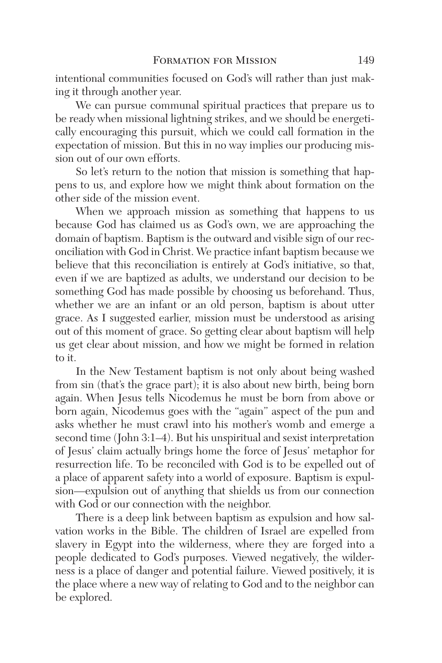intentional communities focused on God's will rather than just making it through another year.

We can pursue communal spiritual practices that prepare us to be ready when missional lightning strikes, and we should be energetically encouraging this pursuit, which we could call formation in the expectation of mission. But this in no way implies our producing mission out of our own efforts.

So let's return to the notion that mission is something that happens to us, and explore how we might think about formation on the other side of the mission event.

When we approach mission as something that happens to us because God has claimed us as God's own, we are approaching the domain of baptism. Baptism is the outward and visible sign of our reconciliation with God in Christ. We practice infant baptism because we believe that this reconciliation is entirely at God's initiative, so that, even if we are baptized as adults, we understand our decision to be something God has made possible by choosing us beforehand. Thus, whether we are an infant or an old person, baptism is about utter grace. As I suggested earlier, mission must be understood as arising out of this moment of grace. So getting clear about baptism will help us get clear about mission, and how we might be formed in relation to it.

In the New Testament baptism is not only about being washed from sin (that's the grace part); it is also about new birth, being born again. When Jesus tells Nicodemus he must be born from above or born again, Nicodemus goes with the "again" aspect of the pun and asks whether he must crawl into his mother's womb and emerge a second time (John 3:1–4). But his unspiritual and sexist interpretation of Jesus' claim actually brings home the force of Jesus' metaphor for resurrection life. To be reconciled with God is to be expelled out of a place of apparent safety into a world of exposure. Baptism is expulsion—expulsion out of anything that shields us from our connection with God or our connection with the neighbor.

There is a deep link between baptism as expulsion and how salvation works in the Bible. The children of Israel are expelled from slavery in Egypt into the wilderness, where they are forged into a people dedicated to God's purposes. Viewed negatively, the wilderness is a place of danger and potential failure. Viewed positively, it is the place where a new way of relating to God and to the neighbor can be explored.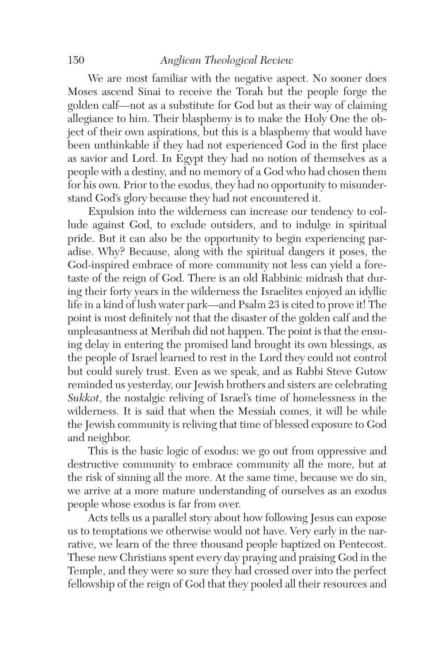#### 150 *Anglican Theological Review*

We are most familiar with the negative aspect. No sooner does Moses ascend Sinai to receive the Torah but the people forge the golden calf—not as a substitute for God but as their way of claiming allegiance to him. Their blasphemy is to make the Holy One the object of their own aspirations, but this is a blasphemy that would have been unthinkable if they had not experienced God in the first place as savior and Lord. In Egypt they had no notion of themselves as a people with a destiny, and no memory of a God who had chosen them for his own. Prior to the exodus, they had no opportunity to misunderstand God's glory because they had not encountered it.

Expulsion into the wilderness can increase our tendency to collude against God, to exclude outsiders, and to indulge in spiritual pride. But it can also be the opportunity to begin experiencing paradise. Why? Because, along with the spiritual dangers it poses, the God-inspired embrace of more community not less can yield a foretaste of the reign of God. There is an old Rabbinic midrash that during their forty years in the wilderness the Israelites enjoyed an idyllic life in a kind of lush water park—and Psalm 23 is cited to prove it! The point is most definitely not that the disaster of the golden calf and the unpleasantness at Meribah did not happen. The point is that the ensuing delay in entering the promised land brought its own blessings, as the people of Israel learned to rest in the Lord they could not control but could surely trust. Even as we speak, and as Rabbi Steve Gutow reminded us yesterday, our Jewish brothers and sisters are celebrating *Sukkot*, the nostalgic reliving of Israel's time of homelessness in the wilderness. It is said that when the Messiah comes, it will be while the Jewish community is reliving that time of blessed exposure to God and neighbor.

This is the basic logic of exodus: we go out from oppressive and destructive community to embrace community all the more, but at the risk of sinning all the more. At the same time, because we do sin, we arrive at a more mature understanding of ourselves as an exodus people whose exodus is far from over.

Acts tells us a parallel story about how following Jesus can expose us to temptations we otherwise would not have. Very early in the narrative, we learn of the three thousand people baptized on Pentecost. These new Christians spent every day praying and praising God in the Temple, and they were so sure they had crossed over into the perfect fellowship of the reign of God that they pooled all their resources and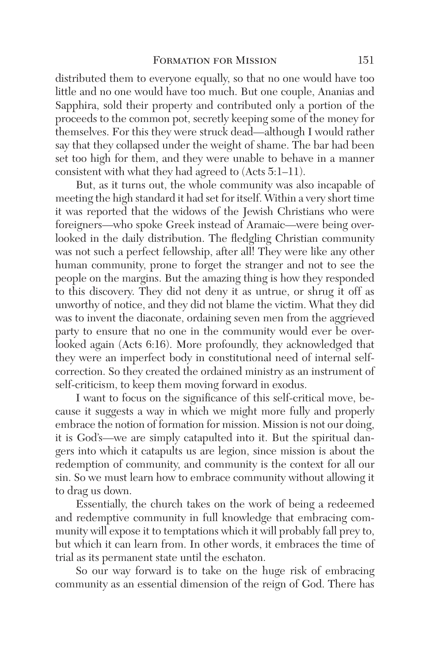distributed them to everyone equally, so that no one would have too little and no one would have too much. But one couple, Ananias and Sapphira, sold their property and contributed only a portion of the proceeds to the common pot, secretly keeping some of the money for themselves. For this they were struck dead—although I would rather say that they collapsed under the weight of shame. The bar had been set too high for them, and they were unable to behave in a manner consistent with what they had agreed to (Acts 5:1–11).

But, as it turns out, the whole community was also incapable of meeting the high standard it had set for itself. Within a very short time it was reported that the widows of the Jewish Christians who were foreigners—who spoke Greek instead of Aramaic—were being overlooked in the daily distribution. The fledgling Christian community was not such a perfect fellowship, after all! They were like any other human community, prone to forget the stranger and not to see the people on the margins. But the amazing thing is how they responded to this discovery. They did not deny it as untrue, or shrug it off as unworthy of notice, and they did not blame the victim. What they did was to invent the diaconate, ordaining seven men from the aggrieved party to ensure that no one in the community would ever be overlooked again (Acts 6:16). More profoundly, they acknowledged that they were an imperfect body in constitutional need of internal selfcorrection. So they created the ordained ministry as an instrument of self-criticism, to keep them moving forward in exodus.

I want to focus on the significance of this self-critical move, because it suggests a way in which we might more fully and properly embrace the notion of formation for mission. Mission is not our doing, it is God's—we are simply catapulted into it. But the spiritual dangers into which it catapults us are legion, since mission is about the redemption of community, and community is the context for all our sin. So we must learn how to embrace community without allowing it to drag us down.

Essentially, the church takes on the work of being a redeemed and redemptive community in full knowledge that embracing community will expose it to temptations which it will probably fall prey to, but which it can learn from. In other words, it embraces the time of trial as its permanent state until the eschaton.

So our way forward is to take on the huge risk of embracing community as an essential dimension of the reign of God. There has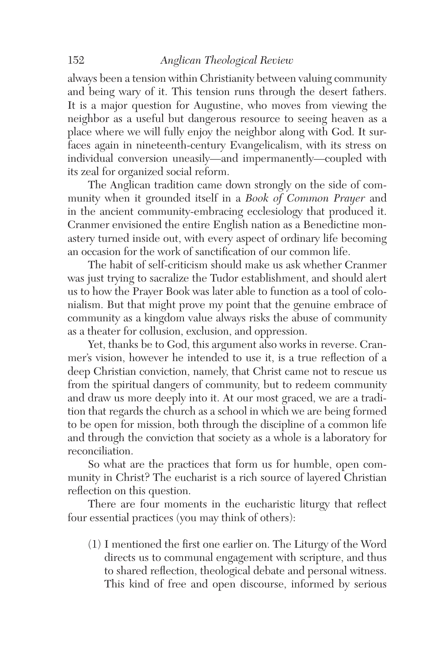#### 152 *Anglican Theological Review*

always been a tension within Christianity between valuing community and being wary of it. This tension runs through the desert fathers. It is a major question for Augustine, who moves from viewing the neighbor as a useful but dangerous resource to seeing heaven as a place where we will fully enjoy the neighbor along with God. It surfaces again in nineteenth-century Evangelicalism, with its stress on individual conversion uneasily—and impermanently—coupled with its zeal for organized social reform.

The Anglican tradition came down strongly on the side of community when it grounded itself in a *Book of Common Prayer* and in the ancient community-embracing ecclesiology that produced it. Cranmer envisioned the entire English nation as a Benedictine monastery turned inside out, with every aspect of ordinary life becoming an occasion for the work of sanctification of our common life.

The habit of self-criticism should make us ask whether Cranmer was just trying to sacralize the Tudor establishment, and should alert us to how the Prayer Book was later able to function as a tool of colonialism. But that might prove my point that the genuine embrace of community as a kingdom value always risks the abuse of community as a theater for collusion, exclusion, and oppression.

Yet, thanks be to God, this argument also works in reverse. Cranmer's vision, however he intended to use it, is a true reflection of a deep Christian conviction, namely, that Christ came not to rescue us from the spiritual dangers of community, but to redeem community and draw us more deeply into it. At our most graced, we are a tradition that regards the church as a school in which we are being formed to be open for mission, both through the discipline of a common life and through the conviction that society as a whole is a laboratory for reconciliation.

So what are the practices that form us for humble, open community in Christ? The eucharist is a rich source of layered Christian reflection on this question.

There are four moments in the eucharistic liturgy that reflect four essential practices (you may think of others):

(1) I mentioned the first one earlier on. The Liturgy of the Word directs us to communal engagement with scripture, and thus to shared reflection, theological debate and personal witness. This kind of free and open discourse, informed by serious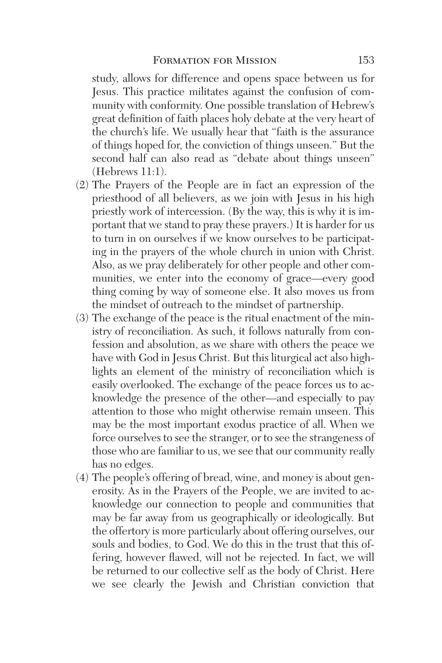study, allows for difference and opens space between us for Jesus. This practice militates against the confusion of community with conformity. One possible translation of Hebrew's great definition of faith places holy debate at the very heart of the church's life. We usually hear that "faith is the assurance of things hoped for, the conviction of things unseen." But the second half can also read as "debate about things unseen" (Hebrews 11:1).

- (2) The Prayers of the People are in fact an expression of the priesthood of all believers, as we join with Jesus in his high priestly work of intercession. (By the way, this is why it is important that we stand to pray these prayers.) It is harder for us to turn in on ourselves if we know ourselves to be participating in the prayers of the whole church in union with Christ. Also, as we pray deliberately for other people and other communities, we enter into the economy of grace—every good thing coming by way of someone else. It also moves us from the mindset of outreach to the mindset of partnership.
- (3) The exchange of the peace is the ritual enactment of the ministry of reconciliation. As such, it follows naturally from confession and absolution, as we share with others the peace we have with God in Jesus Christ. But this liturgical act also highlights an element of the ministry of reconciliation which is easily overlooked. The exchange of the peace forces us to acknowledge the presence of the other—and especially to pay attention to those who might otherwise remain unseen. This may be the most important exodus practice of all. When we force ourselves to see the stranger, or to see the strangeness of those who are familiar to us, we see that our community really has no edges.
- (4) The people's offering of bread, wine, and money is about generosity. As in the Prayers of the People, we are invited to acknowledge our connection to people and communities that may be far away from us geographically or ideologically. But the offertory is more particularly about offering ourselves, our souls and bodies, to God. We do this in the trust that this offering, however flawed, will not be rejected. In fact, we will be returned to our collective self as the body of Christ. Here we see clearly the Jewish and Christian conviction that